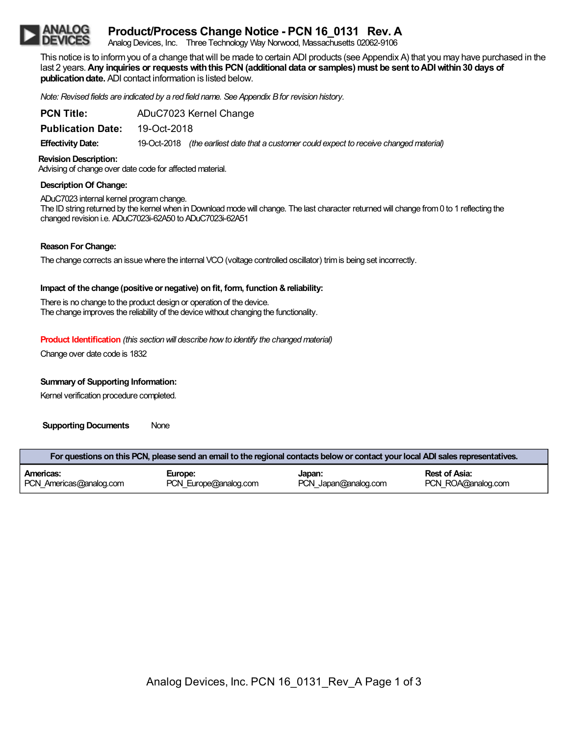# **Product/Process Change Notice - PCN 16\_0131 Rev. A**

Analog Devices, Inc. Three Technology Way Norwood, Massachusetts 02062-9106

This notice is to inform you of a change that will be made to certain ADI products (see Appendix A) that you may have purchased in the last 2 years.**Any inquiries or requestswiththis PCN(additional data or samples) must be sent toADIwithin30 days of publication date.** ADI contact information is listed below.

*Note: Revised fields are indicated by a red field name. See Appendix Bfor revision history.*

| <b>PCN Title:</b>        | ADuC7023 Kernel Change |                                                                                          |  |
|--------------------------|------------------------|------------------------------------------------------------------------------------------|--|
| <b>Publication Date:</b> | 19-Oct-2018            |                                                                                          |  |
| <b>Effectivity Date:</b> |                        | 19-Oct-2018 (the earliest date that a customer could expect to receive changed material) |  |

### **Revision Description:**

Advising of change over date code for affected material.

### **Description Of Change:**

ADuC7023 internal kernel programchange. The ID string returned by the kernel when in Download mode will change. The last character returned will change from 0 to 1 reflecting the changed revision i.e. ADuC7023i-62A50 to ADuC7023i-62A51

### **Reason ForChange:**

The change corrects an issuewhere the internal VCO(voltage controlled oscillator) trimis being set incorrectly.

## **Impact of the change (positive or negative) on fit, form, function &reliability:**

There is no change to the product design or operation of the device. The change improves the reliability of the device without changing the functionality.

## **Product Identification** *(this section will describe how to identify the changed material)*

Change over date code is 1832

## **Summary of Supporting Information:**

Kernel verification procedure completed.

**Supporting Documents** None

| For questions on this PCN, please send an email to the regional contacts below or contact your local ADI sales representatives. |                       |                      |                      |  |  |  |  |
|---------------------------------------------------------------------------------------------------------------------------------|-----------------------|----------------------|----------------------|--|--|--|--|
| Americas:                                                                                                                       | Europe:               | Japan:               | <b>Rest of Asia:</b> |  |  |  |  |
| PCN Americas@analog.com                                                                                                         | PCN Europe@analog.com | PCN Japan@analog.com | PCN ROA@analog.com   |  |  |  |  |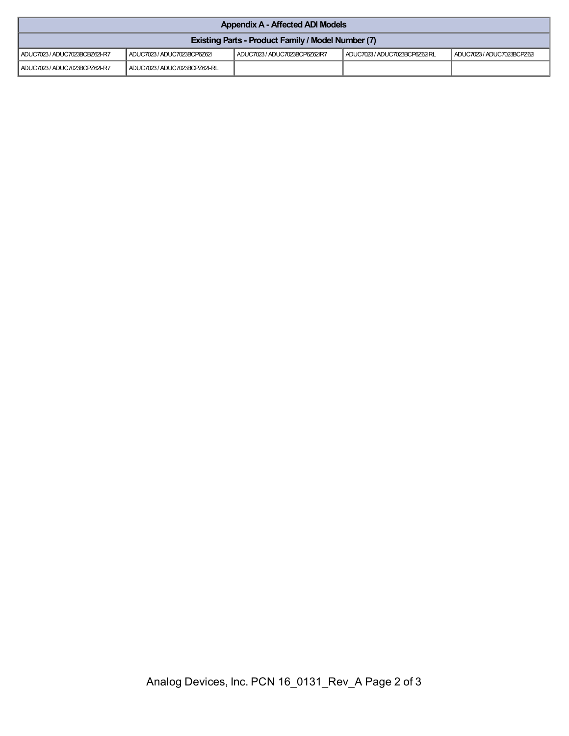| <b>Appendix A - Affected ADI Models</b>                   |                               |                               |                               |                          |  |  |
|-----------------------------------------------------------|-------------------------------|-------------------------------|-------------------------------|--------------------------|--|--|
| <b>Existing Parts - Product Family / Model Number (7)</b> |                               |                               |                               |                          |  |  |
| ADUC7023 / ADUC7023BCBZ62I-R7                             | ADUC7023 / ADUC7023BCP6Z62    | ADUC7023 / ADUC7023BCP6Z62IR7 | ADUC7023 / ADUC7023BCP6Z62IRL | ADUC7023/ADUC7023BCPZ62I |  |  |
| ADUC7023 / ADUC7023BCPZ62I-R7                             | ADUC7023 / ADUC7023BCPZ62I-RL |                               |                               |                          |  |  |